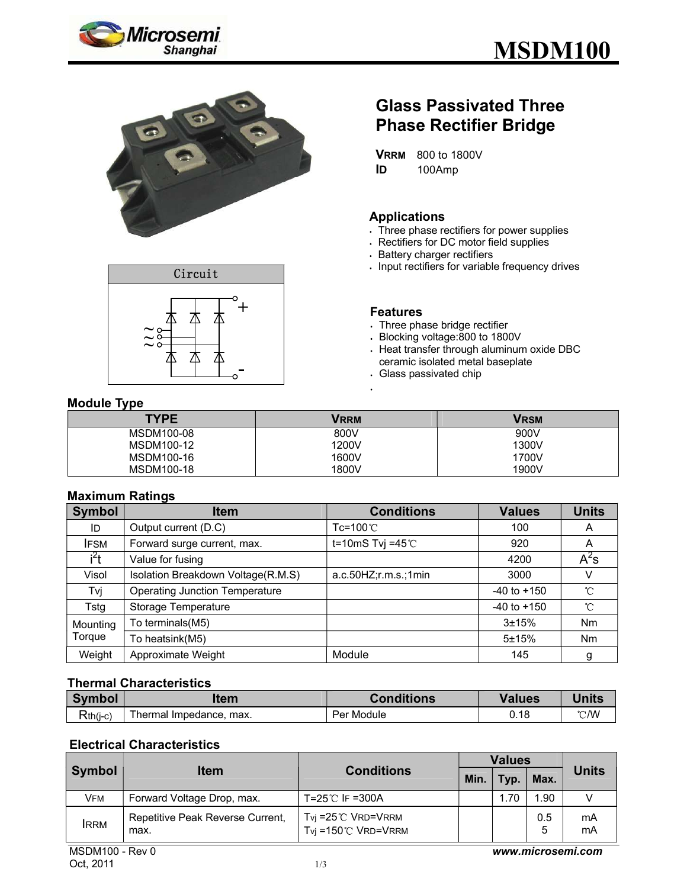





## **Glass Passivated Three Phase Rectifier Bridge**

**VRRM** 800 to 1800V **ID** 100Amp

#### **Applications**

- . Three phase rectifiers for power supplies
- Rectifiers for DC motor field supplies
- Battery charger rectifiers
- . Input rectifiers for variable frequency drives

#### **Features**

- Three phase bridge rectifier
- Blocking voltage:800 to 1800V
- Heat transfer through aluminum oxide DBC ceramic isolated metal baseplate
- Glass passivated chip

#### **Module Type**

| <b>TYPE</b> | <b>VRRM</b> | Vrsm  |
|-------------|-------------|-------|
| MSDM100-08  | 800V        | 900V  |
| MSDM100-12  | 1200V       | 1300V |
| MSDM100-16  | 1600V       | 1700V |
| MSDM100-18  | 1800V       | 1900V |

#### **Maximum Ratings**

| <b>Symbol</b> | <b>Item</b>                           | <b>Conditions</b>      | <b>Values</b>   | <b>Units</b> |
|---------------|---------------------------------------|------------------------|-----------------|--------------|
| ID            | Output current (D.C)                  | Tc=100℃                | 100             | A            |
| <b>IFSM</b>   | Forward surge current, max.           | t=10mS Tvj =45 $°C$    | 920             | A            |
| $i^2t$        | Value for fusing                      |                        | 4200            | $A^2s$       |
| Visol         | Isolation Breakdown Voltage(R.M.S)    | a.c.50HZ; r.m.s.; 1min | 3000            | v            |
| Tvj           | <b>Operating Junction Temperature</b> |                        | $-40$ to $+150$ | $^{\circ}$ C |
| Tstg          | Storage Temperature                   |                        | $-40$ to $+150$ | $^{\circ}$ C |
| Mounting      | To terminals(M5)                      |                        | $3 + 15%$       | Nm           |
| Torque        | To heatsink(M5)                       |                        | 5±15%           | <b>Nm</b>    |
| Weight        | Approximate Weight                    | Module                 | 145             | g            |

#### **Thermal Characteristics**

| <b>Symbol</b> | ltem                       | <b>Conditions</b> | /alues | <b>Units</b>  |
|---------------|----------------------------|-------------------|--------|---------------|
| $Rth(j-c)$    | Thermal Impedance,<br>max. | Module<br>Per     | 0.18   | $\degree$ C/W |

#### **Electrical Characteristics**

| Symbol      | <b>Item</b>                              | <b>Conditions</b>                                               | <b>Values</b> |      |          |              |
|-------------|------------------------------------------|-----------------------------------------------------------------|---------------|------|----------|--------------|
|             |                                          |                                                                 | Min.          | Typ. | Max.     | <b>Units</b> |
| VFM         | Forward Voltage Drop, max.               | T=25℃ IF =300A                                                  |               | 1.70 | 1.90     |              |
| <b>IRRM</b> | Repetitive Peak Reverse Current,<br>max. | $Tvj = 25^{\circ}$ C VRD=VRRM<br>$Tvj = 150^{\circ}$ C VRD=VRRM |               |      | 0.5<br>5 | mA<br>mA     |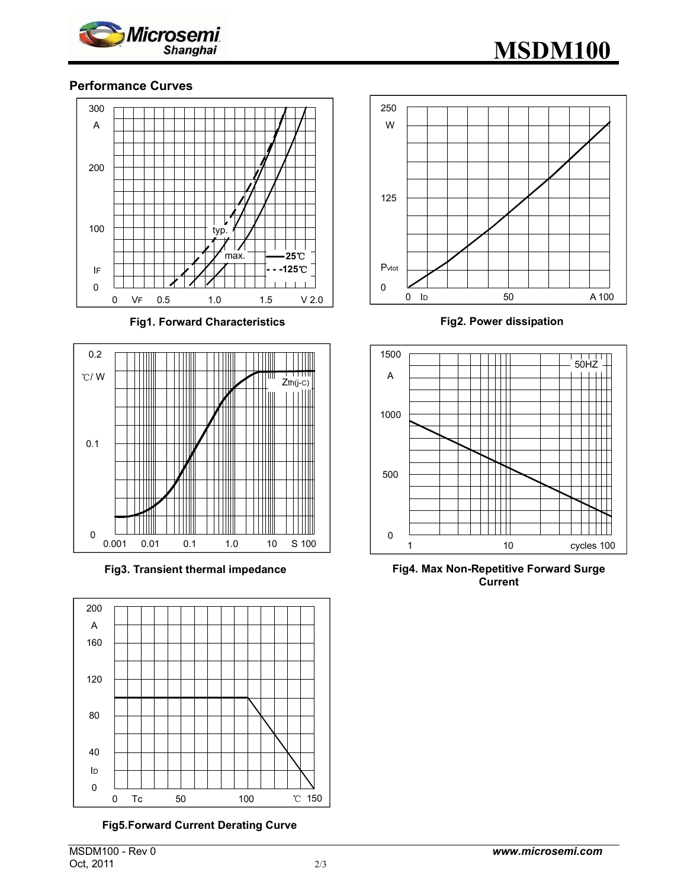

# **MSDM100**

#### **Performance Curves**



**Fig1. Forward Characteristics** 



**Fig3. Transient thermal impedance** 



**Fig5.Forward Current Derating Curve** 



**Fig2. Power dissipation**



**Fig4. Max Non-Repetitive Forward Surge Current**